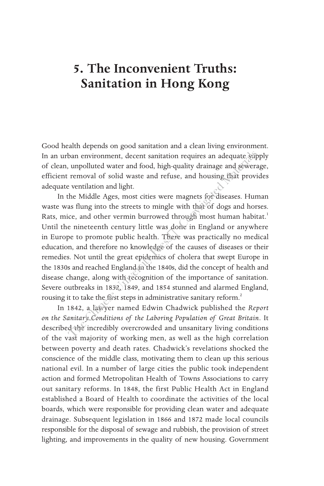## **5. The Inconvenient Truths: Sanitation in Hong Kong**

Good health depends on good sanitation and a clean living environment. In an urban environment, decent sanitation requires an adequate supply of clean, unpolluted water and food, high-quality drainage and sewerage, efficient removal of solid waste and refuse, and housing that provides adequate ventilation and light.

In the Middle Ages, most cities were magnets for diseases. Human waste was flung into the streets to mingle with that of dogs and horses. Rats, mice, and other vermin burrowed through most human habitat.<sup>1</sup> Until the nineteenth century little was done in England or anywhere in Europe to promote public health. There was practically no medical education, and therefore no knowledge of the causes of diseases or their remedies. Not until the great epidemics of cholera that swept Europe in the 1830s and reached England in the 1840s, did the concept of health and disease change, along with recognition of the importance of sanitation. Severe outbreaks in 1832, 1849, and 1854 stunned and alarmed England, rousing it to take the first steps in administrative sanitary reform.<sup>2</sup> ban environment, decent sanitation requires an adequate sum,<br>unpolluted water and food, high-quality drainage and sewers<br>removal of solid waste and refuse, and housing that provi<br>vertilation and light.<br>the Middle Ages, mo

In 1842, a lawyer named Edwin Chadwick published the *Report on the Sanitary Conditions of the Laboring Population of Great Britain*. It described the incredibly overcrowded and unsanitary living conditions of the vast majority of working men, as well as the high correlation between poverty and death rates. Chadwick's revelations shocked the conscience of the middle class, motivating them to clean up this serious national evil. In a number of large cities the public took independent action and formed Metropolitan Health of Towns Associations to carry out sanitary reforms. In 1848, the first Public Health Act in England established a Board of Health to coordinate the activities of the local boards, which were responsible for providing clean water and adequate drainage. Subsequent legislation in 1866 and 1872 made local councils responsible for the disposal of sewage and rubbish, the provision of street lighting, and improvements in the quality of new housing. Government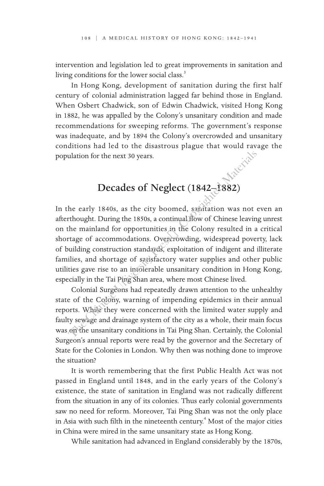intervention and legislation led to great improvements in sanitation and living conditions for the lower social class.<sup>3</sup>

In Hong Kong, development of sanitation during the first half century of colonial administration lagged far behind those in England. When Osbert Chadwick, son of Edwin Chadwick, visited Hong Kong in 1882, he was appalled by the Colony's unsanitary condition and made recommendations for sweeping reforms. The government's response was inadequate, and by 1894 the Colony's overcrowded and unsanitary conditions had led to the disastrous plague that would ravage the population for the next 30 years.

# Decades of Neglect (1842–1882)

In the early 1840s, as the city boomed, sanitation was not even an afterthought. During the 1850s, a continual flow of Chinese leaving unrest on the mainland for opportunities in the Colony resulted in a critical shortage of accommodations. Overcrowding, widespread poverty, lack of building construction standards, exploitation of indigent and illiterate families, and shortage of satisfactory water supplies and other public utilities gave rise to an intolerable unsanitary condition in Hong Kong, especially in the Tai Ping Shan area, where most Chinese lived. ulation for the next 30 years.<br>
Decades of Neglect (1842–1882)<br>
he early 1840s, as the city boomed, sanditation was not<br>
rthought. During the 1850s, a continual flow of Chinese leavin<br>
the mainland for opportunities in the

Colonial Surgeons had repeatedly drawn attention to the unhealthy state of the Colony, warning of impending epidemics in their annual reports. While they were concerned with the limited water supply and faulty sewage and drainage system of the city as a whole, their main focus was on the unsanitary conditions in Tai Ping Shan. Certainly, the Colonial Surgeon's annual reports were read by the governor and the Secretary of State for the Colonies in London. Why then was nothing done to improve the situation?

It is worth remembering that the first Public Health Act was not passed in England until 1848, and in the early years of the Colony's existence, the state of sanitation in England was not radically different from the situation in any of its colonies. Thus early colonial governments saw no need for reform. Moreover, Tai Ping Shan was not the only place in Asia with such filth in the nineteenth century.<sup>4</sup> Most of the major cities in China were mired in the same unsanitary state as Hong Kong.

While sanitation had advanced in England considerably by the 1870s,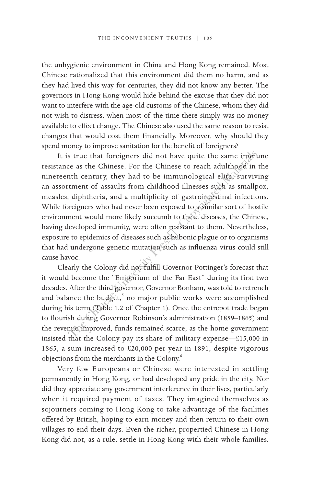the unhygienic environment in China and Hong Kong remained. Most Chinese rationalized that this environment did them no harm, and as they had lived this way for centuries, they did not know any better. The governors in Hong Kong would hide behind the excuse that they did not want to interfere with the age-old customs of the Chinese, whom they did not wish to distress, when most of the time there simply was no money available to effect change. The Chinese also used the same reason to resist changes that would cost them financially. Moreover, why should they spend money to improve sanitation for the benefit of foreigners?

It is true that foreigners did not have quite the same immune resistance as the Chinese. For the Chinese to reach adulthood in the nineteenth century, they had to be immunological elite, surviving an assortment of assaults from childhood illnesses such as smallpox, measles, diphtheria, and a multiplicity of gastrointestinal infections. While foreigners who had never been exposed to a similar sort of hostile environment would more likely succumb to these diseases, the Chinese, having developed immunity, were often resistant to them. Nevertheless, exposure to epidemics of diseases such as bubonic plague or to organisms that had undergone genetic mutation such as influenza virus could still cause havoc. s true that foreigners did not have quite the same imminities<br>ce as the Chinese. For the Chinese to reach adulthood in<br>nth century, they had to be immunological elites survive<br>transity from childhood illnesses such as smal

Clearly the Colony did not fulfill Governor Pottinger's forecast that it would become the "Emporium of the Far East" during its first two decades. After the third governor, Governor Bonham, was told to retrench and balance the budget,<sup>5</sup> no major public works were accomplished during his term (Table 1.2 of Chapter 1). Once the entrepot trade began to flourish during Governor Robinson's administration (1859-1865) and the revenue improved, funds remained scarce, as the home government insisted that the Colony pay its share of military expense—£15,000 in 1865, a sum increased to £20,000 per year in 1891, despite vigorous objections from the merchants in the Colony.<sup>6</sup>

Very few Europeans or Chinese were interested in settling permanently in Hong Kong, or had developed any pride in the city. Nor did they appreciate any government interference in their lives, particularly when it required payment of taxes. They imagined themselves as sojourners coming to Hong Kong to take advantage of the facilities offered by British, hoping to earn money and then return to their own villages to end their days. Even the richer, propertied Chinese in Hong Kong did not, as a rule, settle in Hong Kong with their whole families.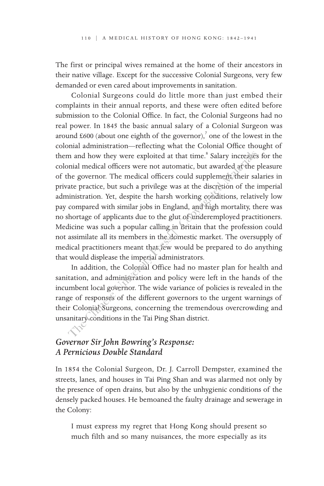The first or principal wives remained at the home of their ancestors in their native village. Except for the successive Colonial Surgeons, very few demanded or even cared about improvements in sanitation.

Colonial Surgeons could do little more than just embed their complaints in their annual reports, and these were often edited before submission to the Colonial Office. In fact, the Colonial Surgeons had no real power. In 1845 the basic annual salary of a Colonial Surgeon was around  $£600$  (about one eighth of the governor),<sup>7</sup> one of the lowest in the colonial administration—reflecting what the Colonial Office thought of them and how they were exploited at that time.<sup>8</sup> Salary increases for the colonial medical officers were not automatic, but awarded at the pleasure of the governor. The medical officers could supplement their salaries in private practice, but such a privilege was at the discretion of the imperial administration. Yet, despite the harsh working conditions, relatively low pay compared with similar jobs in England, and high mortality, there was no shortage of applicants due to the glut of underemployed practitioners. Medicine was such a popular calling in Britain that the profession could not assimilate all its members in the domestic market. The oversupply of medical practitioners meant that few would be prepared to do anything that would displease the imperial administrators. mand how they were exploited at that time.<sup>8</sup> Salary increases<br>the movement and indical officers were not automatic, but awarded af the<br>he governor. The medical officers could supplement their sa<br>ate practice, but such a p

In addition, the Colonial Office had no master plan for health and sanitation, and administration and policy were left in the hands of the incumbent local governor. The wide variance of policies is revealed in the range of responses of the different governors to the urgent warnings of their Colonial Surgeons, concerning the tremendous overcrowding and unsanitary conditions in the Tai Ping Shan district.

#### *Governor Sir John Bowring's Response: A Pernicious Double Standard*

In 1854 the Colonial Surgeon, Dr. J. Carroll Dempster, examined the streets, lanes, and houses in Tai Ping Shan and was alarmed not only by the presence of open drains, but also by the unhygienic conditions of the densely packed houses. He bemoaned the faulty drainage and sewerage in the Colony:

I must express my regret that Hong Kong should present so much filth and so many nuisances, the more especially as its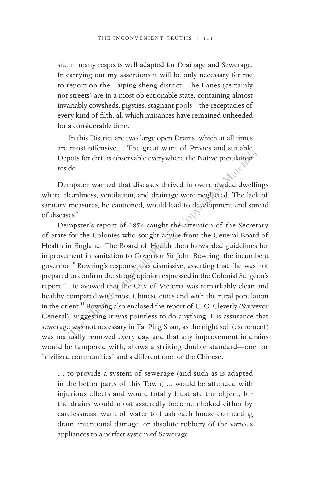site in many respects well adapted for Drainage and Sewerage. In carrying out my assertions it will be only necessary for me to report on the Taiping-sheng district. The Lanes (certainly not streets) are in a most objectionable state, containing almost invariably cowsheds, pigsties, stagnant pools—the receptacles of every kind of filth, all which nuisances have remained unheeded for a considerable time.

In this District are two large open Drains, which at all times are most offensive.... The great want of Privies and suitable Depots for dirt, is observable everywhere the Native population reside.

Dempster warned that diseases thrived in overcrowded dwellings where cleanliness, ventilation, and drainage were neglected. The lack of sanitary measures, he cautioned, would lead to development and spread of diseases.<sup>9</sup>

Dempster's report of 1854 caught the attention of the Secretary of State for the Colonies who sought advice from the General Board of Health in England. The Board of Health then forwarded guidelines for improvement in sanitation to Governor Sir John Bowring, the incumbent governor.10 Bowring's response was dismissive, asserting that "he was not prepared to confirm the strong opinion expressed in the Colonial Surgeon's report." He avowed that the City of Victoria was remarkably clean and healthy compared with most Chinese cities and with the rural population in the orient.<sup>11</sup> Bowring also enclosed the report of C. G. Cleverly (Surveyor General), suggesting it was pointless to do anything. His assurance that sewerage was not necessary in Tai Ping Shan, as the night soil (excrement) was manually removed every day, and that any improvement in drains would be tampered with, shows a striking double standard—one for "civilized communities" and a different one for the Chinese: pots for dirt, is observable everywhere the Native population<br>de.<br>
Mesoprateur warned that diseases thrived in overcrowded dwelli<br>
leanliness, ventilation, and drainage were neglected. The lack<br>
measures, he cautioned, wou

… to provide a system of sewerage (and such as is adapted in the better parts of this Town) ... would be attended with injurious effects and would totally frustrate the object, for the drains would most assuredly become choked either by carelessness, want of water to flush each house connecting drain, intentional damage, or absolute robbery of the various appliances to a perfect system of Sewerage …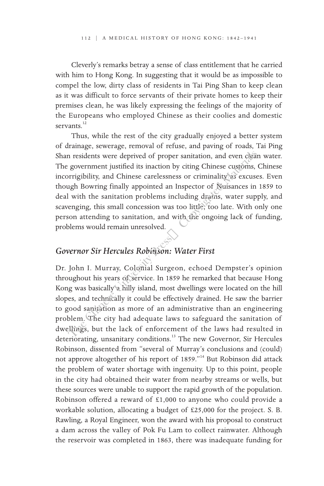Cleverly's remarks betray a sense of class entitlement that he carried with him to Hong Kong. In suggesting that it would be as impossible to compel the low, dirty class of residents in Tai Ping Shan to keep clean as it was difficult to force servants of their private homes to keep their premises clean, he was likely expressing the feelings of the majority of the Europeans who employed Chinese as their coolies and domestic servants.<sup>12</sup>

Thus, while the rest of the city gradually enjoyed a better system of drainage, sewerage, removal of refuse, and paving of roads, Tai Ping Shan residents were deprived of proper sanitation, and even clean water. The government justified its inaction by citing Chinese customs, Chinese incorrigibility, and Chinese carelessness or criminality as excuses. Even though Bowring finally appointed an Inspector of Nuisances in 1859 to deal with the sanitation problems including drains, water supply, and scavenging, this small concession was too little, too late. With only one person attending to sanitation, and with the ongoing lack of funding, problems would remain unresolved. The Chinese tect of proper sanitation, and even chear a government justified its inaction by citing Chinese customs,<br>pririgibility, and Chinese carelessness or criminality as excuse<br>ugh Bowring finally appointed an Inspect

#### *Governor Sir Hercules Robinson: Water First*

Dr. John I. Murray, Colonial Surgeon, echoed Dempster's opinion throughout his years of service. In 1859 he remarked that because Hong Kong was basically a hilly island, most dwellings were located on the hill slopes, and technically it could be effectively drained. He saw the barrier to good sanitation as more of an administrative than an engineering problem. The city had adequate laws to safeguard the sanitation of dwellings, but the lack of enforcement of the laws had resulted in deteriorating, unsanitary conditions.<sup>13</sup> The new Governor, Sir Hercules Robinson, dissented from "several of Murray's conclusions and (could) not approve altogether of his report of 1859."14 But Robinson did attack the problem of water shortage with ingenuity. Up to this point, people in the city had obtained their water from nearby streams or wells, but these sources were unable to support the rapid growth of the population. Robinson offered a reward of £1,000 to anyone who could provide a workable solution, allocating a budget of £25,000 for the project. S. B. Rawling, a Royal Engineer, won the award with his proposal to construct a dam across the valley of Pok Fu Lam to collect rainwater. Although the reservoir was completed in 1863, there was inadequate funding for